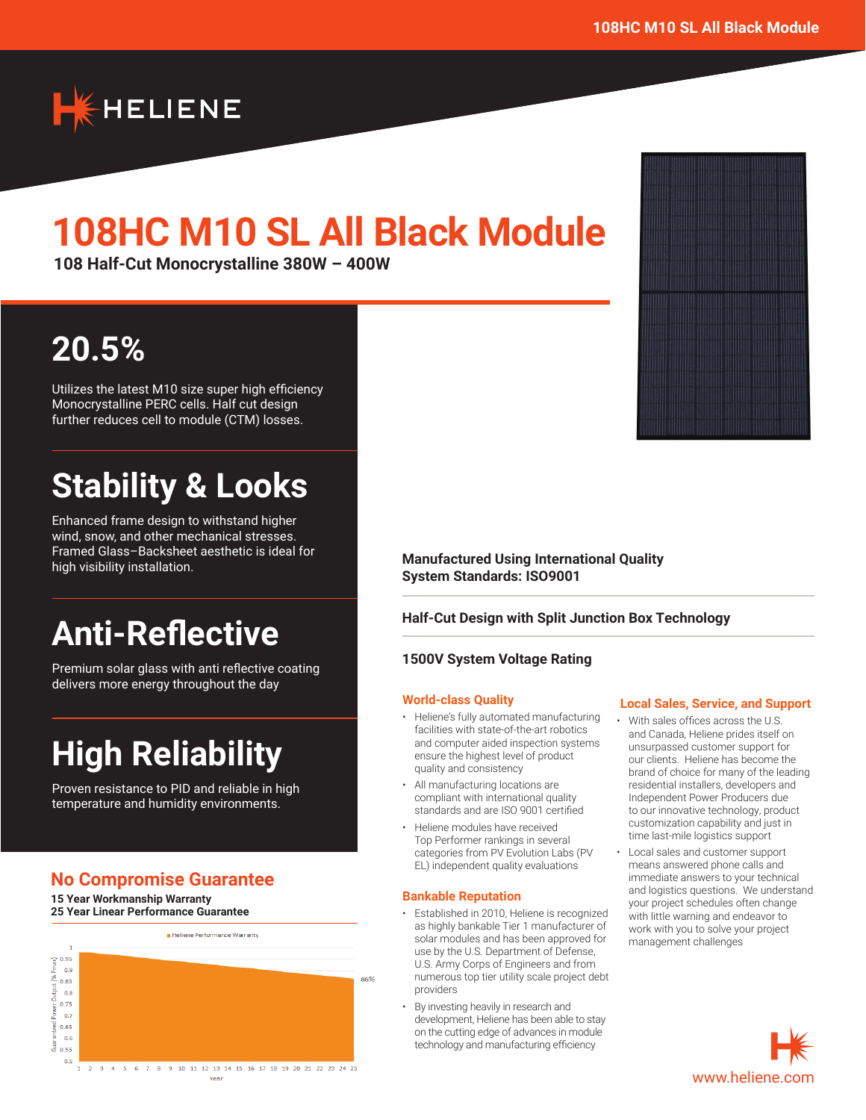

# **108HC M10 SL All Black Module**

**108 Half-Cut Monocrystalline 380W – 400W**

# **20.5%**

Utilizes the latest M10 size super high efficiency Monocrystalline PERC cells. Half cut design further reduces cell to module (CTM) losses.

# **Stability & Looks**

Enhanced frame design to withstand higher wind, snow, and other mechanical stresses. Framed Glass–Backsheet aesthetic is ideal for high visibility installation.

# **Anti-Reflective**

Premium solar glass with anti reflective coating delivers more energy throughout the day

# **High Reliability**

Proven resistance to PID and reliable in high temperature and humidity environments.

# **No Compromise Guarantee**

**15 Year Workmanship Warranty 25 Year Linear Performance Guarantee**



**Manufactured Using International Quality System Standards: ISO9001**

### **Half-Cut Design with Split Junction Box Technology**

#### **1500V System Voltage Rating**

#### **World-class Quality**

- Heliene's fully automated manufacturing facilities with state-of-the-art robotics and computer aided inspection systems ensure the highest level of product quality and consistency
- All manufacturing locations are compliant with international quality standards and are ISO 9001 certified
- Heliene modules have received Top Performer rankings in several categories from PV Evolution Labs (PV EL) independent quality evaluations

#### **Bankable Reputation**

- Established in 2010, Heliene is recognized as highly bankable Tier 1 manufacturer of solar modules and has been approved for use by the U.S. Department of Defense, U.S. Army Corps of Engineers and from numerous top tier utility scale project debt providers
- By investing heavily in research and development, Heliene has been able to stay on the cutting edge of advances in module technology and manufacturing efficiency



#### **Local Sales, Service, and Support**

- With sales offices across the U.S. and Canada, Heliene prides itself on unsurpassed customer support for our clients. Heliene has become the brand of choice for many of the leading residential installers, developers and Independent Power Producers due to our innovative technology, product customization capability and just in time last-mile logistics support
- Local sales and customer support means answered phone calls and immediate answers to your technical and logistics questions. We understand your project schedules often change with little warning and endeavor to work with you to solve your project management challenges